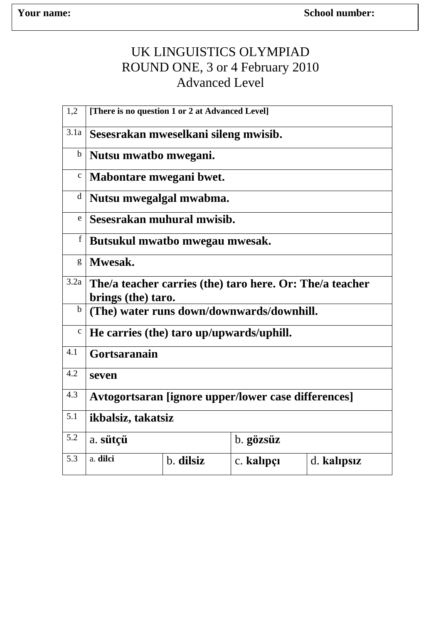## UK LINGUISTICS OLYMPIAD ROUND ONE, 3 or 4 February 2010 Advanced Level

| 1,2          | [There is no question 1 or 2 at Advanced Level]          |           |            |             |  |  |  |  |  |
|--------------|----------------------------------------------------------|-----------|------------|-------------|--|--|--|--|--|
| 3.1a         | Sesesrakan mweselkani sileng mwisib.                     |           |            |             |  |  |  |  |  |
| $\mathbf b$  | Nutsu mwatbo mwegani.                                    |           |            |             |  |  |  |  |  |
| $\mathbf{C}$ | Mabontare mwegani bwet.                                  |           |            |             |  |  |  |  |  |
| $\mathbf d$  | Nutsu mwegalgal mwabma.                                  |           |            |             |  |  |  |  |  |
| $\mathbf e$  | Sesesrakan muhural mwisib.                               |           |            |             |  |  |  |  |  |
| $\mathbf f$  | Butsukul mwatbo mwegau mwesak.                           |           |            |             |  |  |  |  |  |
| g            | Mwesak.                                                  |           |            |             |  |  |  |  |  |
| 3.2a         | The/a teacher carries (the) taro here. Or: The/a teacher |           |            |             |  |  |  |  |  |
|              | brings (the) taro.                                       |           |            |             |  |  |  |  |  |
| $\mathbf b$  | (The) water runs down/downwards/downhill.                |           |            |             |  |  |  |  |  |
| $\mathbf C$  | He carries (the) taro up/upwards/uphill.                 |           |            |             |  |  |  |  |  |
| 4.1          | Gortsaranain                                             |           |            |             |  |  |  |  |  |
| 4.2          | seven                                                    |           |            |             |  |  |  |  |  |
| 4.3          | Avtogortsaran [ignore upper/lower case differences]      |           |            |             |  |  |  |  |  |
| 5.1          | ikbalsiz, takatsiz                                       |           |            |             |  |  |  |  |  |
| 5.2          | a. sütçü                                                 |           | b. gözsüz  |             |  |  |  |  |  |
| 5.3          | a. dilci                                                 | b. dilsiz | c. kalıpçı | d. kalipsiz |  |  |  |  |  |